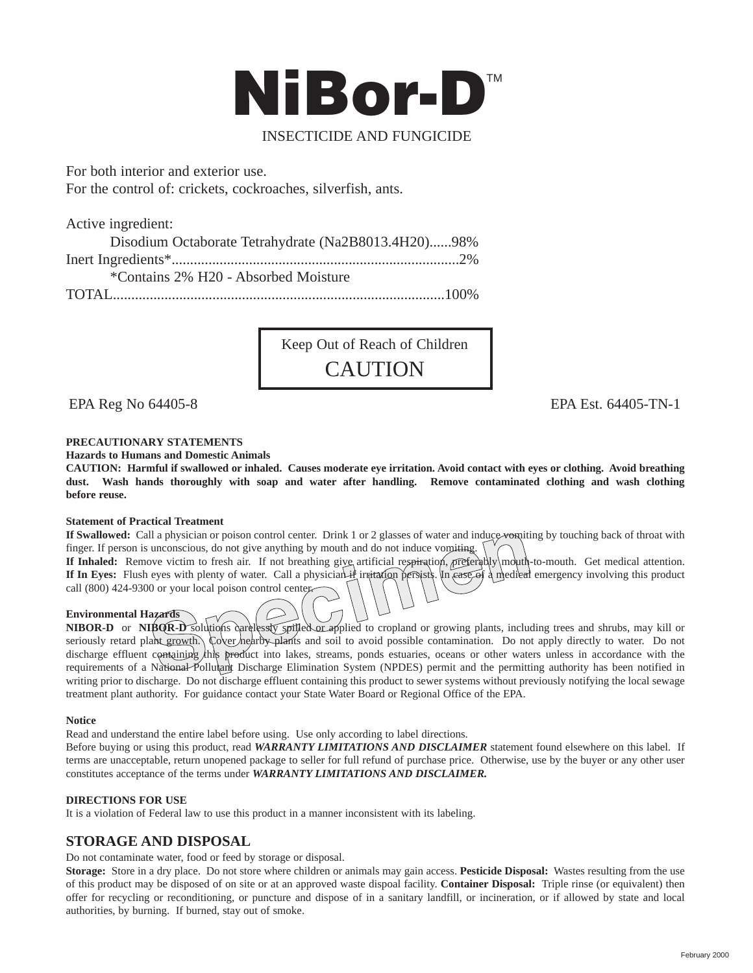

# INSECTICIDE AND FUNGICIDE

For both interior and exterior use. For the control of: crickets, cockroaches, silverfish, ants.

Active ingredient:

Disodium Octaborate Tetrahydrate (Na2B8013.4H20)......98% Inert Ingredients\*..............................................................................2% \*Contains 2% H20 - Absorbed Moisture TOTAL..........................................................................................100%

> Keep Out of Reach of Children **CAUTION**

EPA Reg No 64405-8 EPA Est. 64405-TN-1

## **PRECAUTIONARY STATEMENTS**

**Hazards to Humans and Domestic Animals**

**CAUTION: Harmful if swallowed or inhaled. Causes moderate eye irritation. Avoid contact with eyes or clothing. Avoid breathing** dust. Wash hands thoroughly with soap and water after handling. Remove contaminated clothing and wash clothing **before reuse.**

### **Statement of Practical Treatment**

If Swallowed: Call a physician or poison control center. Drink 1 or 2 glasses of water and induce vomiting by touching back of throat with finger. If person is unconscious, do not give anything by mouth and do not induce vomiting.

If Inhaled: Remove victim to fresh air. If not breathing give artificial respiration, preferably mouth-to-mouth. Get medical attention. If In Eyes: Flush eyes with plenty of water. Call a physician if irritation persists. In ease of a medical emergency involving this product call (800) 424-9300 or your local poison control center.

### **Environmental Hazards**

**NIBOR-D** or **NIBOR-D** solutions carelessly spilled or applied to cropland or growing plants, including trees and shrubs, may kill or seriously retard plant growth. Cover nearby plants and soil to avoid possible contamination. Do not apply directly to water. Do not discharge effluent containing this product into lakes, streams, ponds estuaries, oceans or other waters unless in accordance with the requirements of a National Pollutant Discharge Elimination System (NPDES) permit and the permitting authority has been notified in writing prior to discharge. Do not discharge effluent containing this product to sewer systems without previously notifying the local sewage treatment plant authority. For guidance contact your State Water Board or Regional Office of the EPA.

### **Notice**

Read and understand the entire label before using. Use only according to label directions.

Before buying or using this product, read *WARRANTY LIMITATIONS AND DISCLAIMER* statement found elsewhere on this label. If terms are unacceptable, return unopened package to seller for full refund of purchase price. Otherwise, use by the buyer or any other user constitutes acceptance of the terms under *WARRANTY LIMITATIONS AND DISCLAIMER.*

### **DIRECTIONS FOR USE**

It is a violation of Federal law to use this product in a manner inconsistent with its labeling.

# **STORAGE AND DISPOSAL**

Do not contaminate water, food or feed by storage or disposal.

**Storage:** Store in a dry place. Do not store where children or animals may gain access. **Pesticide Disposal:** Wastes resulting from the use of this product may be disposed of on site or at an approved waste dispoal facility. **Container Disposal:** Triple rinse (or equivalent) then offer for recycling or reconditioning, or puncture and dispose of in a sanitary landfill, or incineration, or if allowed by state and local authorities, by burning. If burned, stay out of smoke.